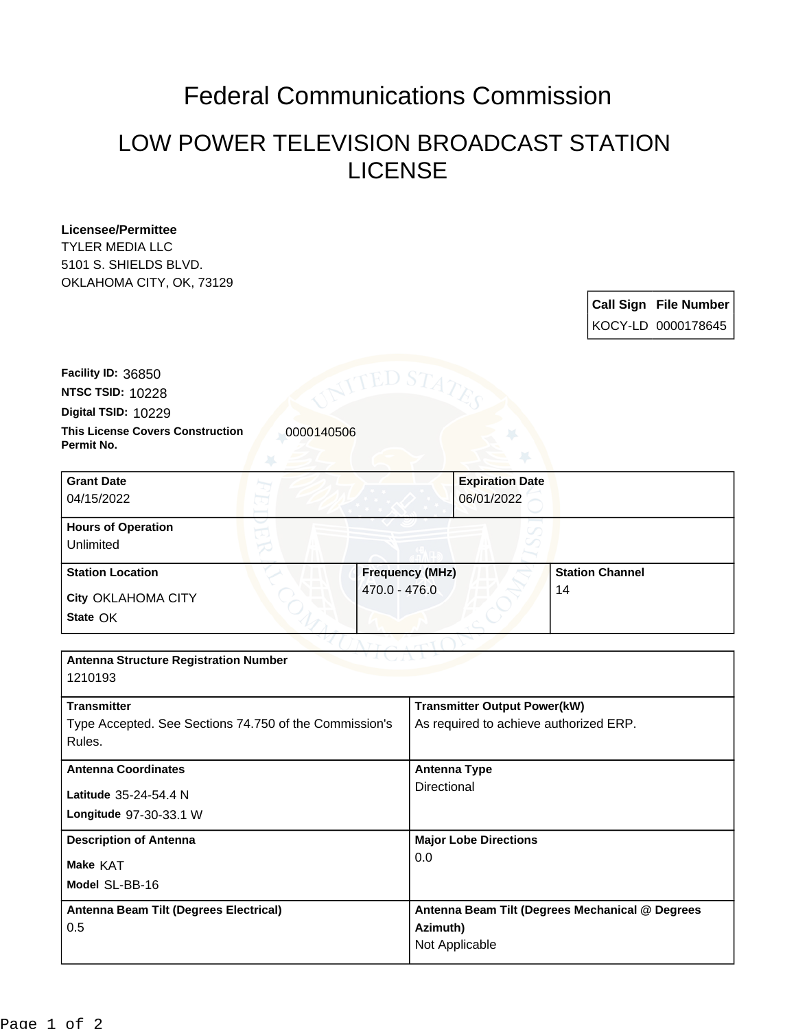## Federal Communications Commission

## LOW POWER TELEVISION BROADCAST STATION LICENSE

## **Licensee/Permittee**

TYLER MEDIA LLC 5101 S. SHIELDS BLVD. OKLAHOMA CITY, OK, 73129

> **Call Sign File Number** KOCY-LD 0000178645

**This License Covers Construction 10000140506 Permit No. Digital TSID:** 10229 **NTSC TSID:** 10228 **Facility ID:** 36850

| <b>Grant Date</b><br>04/15/2022        | <b>Expiration Date</b><br>06/01/2022 |                        |
|----------------------------------------|--------------------------------------|------------------------|
| <b>Hours of Operation</b><br>Unlimited |                                      |                        |
| <b>Station Location</b>                | <b>Frequency (MHz)</b>               | <b>Station Channel</b> |
| City OKLAHOMA CITY<br>State OK         | 470.0 - 476.0<br><b>TEN</b>          | 14                     |

| <b>Antenna Structure Registration Number</b><br>1210193 |                                                 |  |  |
|---------------------------------------------------------|-------------------------------------------------|--|--|
|                                                         |                                                 |  |  |
| <b>Transmitter</b>                                      | <b>Transmitter Output Power(kW)</b>             |  |  |
| Type Accepted. See Sections 74.750 of the Commission's  | As required to achieve authorized ERP.          |  |  |
| Rules.                                                  |                                                 |  |  |
| <b>Antenna Coordinates</b>                              | <b>Antenna Type</b>                             |  |  |
| Latitude 35-24-54.4 N                                   | Directional                                     |  |  |
| Longitude 97-30-33.1 W                                  |                                                 |  |  |
| <b>Description of Antenna</b>                           | <b>Major Lobe Directions</b>                    |  |  |
| Make KAT                                                | 0.0                                             |  |  |
| Model SL-BB-16                                          |                                                 |  |  |
| Antenna Beam Tilt (Degrees Electrical)                  | Antenna Beam Tilt (Degrees Mechanical @ Degrees |  |  |
| 0.5                                                     | Azimuth)                                        |  |  |
|                                                         | Not Applicable                                  |  |  |